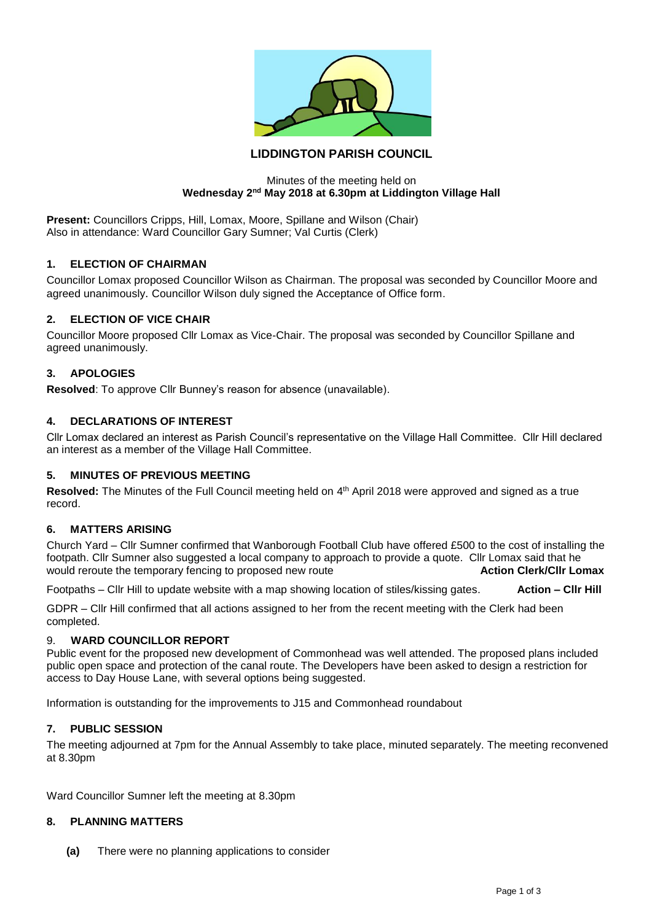

# **LIDDINGTON PARISH COUNCIL**

#### Minutes of the meeting held on **Wednesday 2nd May 2018 at 6.30pm at Liddington Village Hall**

**Present:** Councillors Cripps, Hill, Lomax, Moore, Spillane and Wilson (Chair) Also in attendance: Ward Councillor Gary Sumner; Val Curtis (Clerk)

# **1. ELECTION OF CHAIRMAN**

Councillor Lomax proposed Councillor Wilson as Chairman. The proposal was seconded by Councillor Moore and agreed unanimously. Councillor Wilson duly signed the Acceptance of Office form.

## **2. ELECTION OF VICE CHAIR**

Councillor Moore proposed Cllr Lomax as Vice-Chair. The proposal was seconded by Councillor Spillane and agreed unanimously.

## **3. APOLOGIES**

**Resolved**: To approve Cllr Bunney's reason for absence (unavailable).

## **4. DECLARATIONS OF INTEREST**

Cllr Lomax declared an interest as Parish Council's representative on the Village Hall Committee. Cllr Hill declared an interest as a member of the Village Hall Committee.

#### **5. MINUTES OF PREVIOUS MEETING**

Resolved: The Minutes of the Full Council meeting held on 4<sup>th</sup> April 2018 were approved and signed as a true record.

# **6. MATTERS ARISING**

Church Yard – Cllr Sumner confirmed that Wanborough Football Club have offered £500 to the cost of installing the footpath. Cllr Sumner also suggested a local company to approach to provide a quote. Cllr Lomax said that he<br>would reroute the temporary fencing to proposed new route<br>**Action Clerk/Cllr Lomax** would reroute the temporary fencing to proposed new route

Footpaths – Cllr Hill to update website with a map showing location of stiles/kissing gates. **Action – Cllr Hill**

GDPR – Cllr Hill confirmed that all actions assigned to her from the recent meeting with the Clerk had been completed.

#### 9. **WARD COUNCILLOR REPORT**

Public event for the proposed new development of Commonhead was well attended. The proposed plans included public open space and protection of the canal route. The Developers have been asked to design a restriction for access to Day House Lane, with several options being suggested.

Information is outstanding for the improvements to J15 and Commonhead roundabout

## **7. PUBLIC SESSION**

The meeting adjourned at 7pm for the Annual Assembly to take place, minuted separately. The meeting reconvened at 8.30pm

Ward Councillor Sumner left the meeting at 8.30pm

# **8. PLANNING MATTERS**

**(a)** There were no planning applications to consider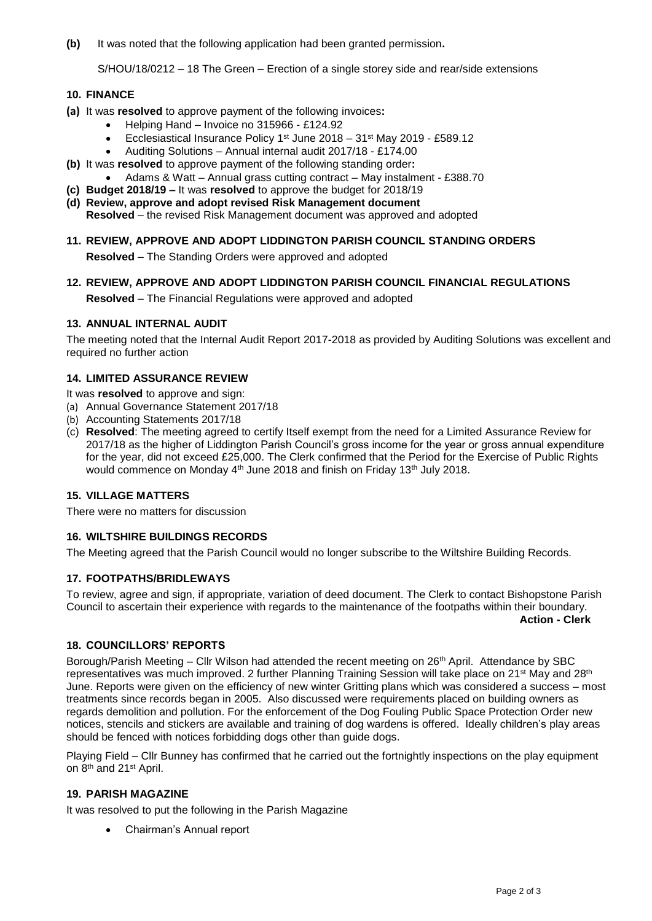**(b)** It was noted that the following application had been granted permission**.**

S/HOU/18/0212 – 18 The Green – Erection of a single storey side and rear/side extensions

## **10. FINANCE**

- **(a)** It was **resolved** to approve payment of the following invoices**:**
	- Helping Hand Invoice no 315966 £124.92
		- Ecclesiastical Insurance Policy 1st June 2018 31st May 2019 £589.12
		- Auditing Solutions Annual internal audit 2017/18 £174.00
- **(b)** It was **resolved** to approve payment of the following standing order**:**
	- Adams & Watt Annual grass cutting contract May instalment £388.70
- **(c) Budget 2018/19 –** It was **resolved** to approve the budget for 2018/19
- **(d) Review, approve and adopt revised Risk Management document Resolved** – the revised Risk Management document was approved and adopted
- **11. REVIEW, APPROVE AND ADOPT LIDDINGTON PARISH COUNCIL STANDING ORDERS**

**Resolved** – The Standing Orders were approved and adopted

**12. REVIEW, APPROVE AND ADOPT LIDDINGTON PARISH COUNCIL FINANCIAL REGULATIONS Resolved** – The Financial Regulations were approved and adopted

## **13. ANNUAL INTERNAL AUDIT**

The meeting noted that the Internal Audit Report 2017-2018 as provided by Auditing Solutions was excellent and required no further action

## **14. LIMITED ASSURANCE REVIEW**

It was **resolved** to approve and sign:

- (a) Annual Governance Statement 2017/18
- (b) Accounting Statements 2017/18
- (c) **Resolved**: The meeting agreed to certify Itself exempt from the need for a Limited Assurance Review for 2017/18 as the higher of Liddington Parish Council's gross income for the year or gross annual expenditure for the year, did not exceed £25,000. The Clerk confirmed that the Period for the Exercise of Public Rights would commence on Monday 4<sup>th</sup> June 2018 and finish on Friday 13<sup>th</sup> July 2018.

# **15. VILLAGE MATTERS**

There were no matters for discussion

# **16. WILTSHIRE BUILDINGS RECORDS**

The Meeting agreed that the Parish Council would no longer subscribe to the Wiltshire Building Records.

# **17. FOOTPATHS/BRIDLEWAYS**

To review, agree and sign, if appropriate, variation of deed document. The Clerk to contact Bishopstone Parish Council to ascertain their experience with regards to the maintenance of the footpaths within their boundary.

**Action - Clerk**

# **18. COUNCILLORS' REPORTS**

Borough/Parish Meeting – Cllr Wilson had attended the recent meeting on 26<sup>th</sup> April. Attendance by SBC representatives was much improved. 2 further Planning Training Session will take place on 21<sup>st</sup> May and 28<sup>th</sup> June. Reports were given on the efficiency of new winter Gritting plans which was considered a success – most treatments since records began in 2005. Also discussed were requirements placed on building owners as regards demolition and pollution. For the enforcement of the Dog Fouling Public Space Protection Order new notices, stencils and stickers are available and training of dog wardens is offered. Ideally children's play areas should be fenced with notices forbidding dogs other than guide dogs.

Playing Field – Cllr Bunney has confirmed that he carried out the fortnightly inspections on the play equipment on 8<sup>th</sup> and 21<sup>st</sup> April.

#### **19. PARISH MAGAZINE**

It was resolved to put the following in the Parish Magazine

• Chairman's Annual report